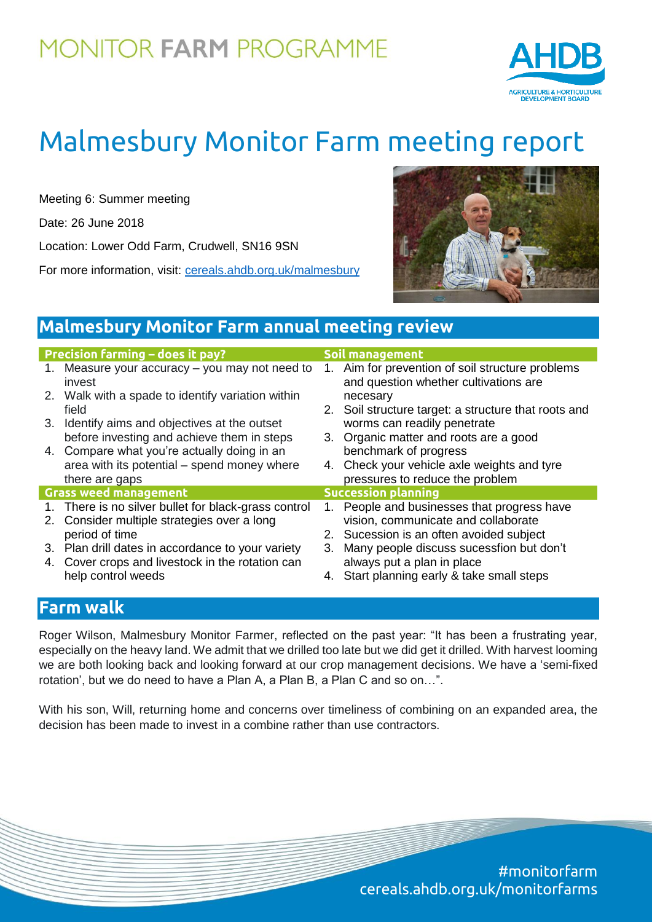## **MONITOR FARM PROGRAMME**



# Malmesbury Monitor Farm meeting report

Meeting 6: Summer meeting

Date: 26 June 2018

Location: Lower Odd Farm, Crudwell, SN16 9SN

For more information, visit: [cereals.ahdb.org.uk/m](https://cereals.ahdb.org.uk/get-involved/monitorfarms/saltburn-monitor-farm.aspx)almesbury



## **Malmesbury Monitor Farm annual meeting review**

| <b>Precision farming - does it pay?</b> |                                                          | Soil management            |                                                                                        |
|-----------------------------------------|----------------------------------------------------------|----------------------------|----------------------------------------------------------------------------------------|
|                                         | 1. Measure your accuracy – you may not need to<br>invest | 1.                         | Aim for prevention of soil structure problems<br>and question whether cultivations are |
|                                         | 2. Walk with a spade to identify variation within        |                            | necesary                                                                               |
|                                         | field                                                    |                            | 2. Soil structure target: a structure that roots and                                   |
|                                         | 3. Identify aims and objectives at the outset            |                            | worms can readily penetrate                                                            |
|                                         | before investing and achieve them in steps               |                            | 3. Organic matter and roots are a good                                                 |
|                                         | 4. Compare what you're actually doing in an              |                            | benchmark of progress                                                                  |
|                                         | area with its potential – spend money where              |                            | 4. Check your vehicle axle weights and tyre                                            |
|                                         | there are gaps                                           |                            | pressures to reduce the problem                                                        |
| <b>Grass weed management</b>            |                                                          | <b>Succession planning</b> |                                                                                        |
|                                         | 1. There is no silver bullet for black-grass control     |                            | People and businesses that progress have                                               |
|                                         | 2. Consider multiple strategies over a long              |                            | vision, communicate and collaborate                                                    |
|                                         | period of time                                           |                            | 2. Sucession is an often avoided subject                                               |
|                                         | 3. Plan drill dates in accordance to your variety        | 3.                         | Many people discuss sucessfion but don't                                               |
|                                         | 4. Cover crops and livestock in the rotation can         |                            | always put a plan in place                                                             |
|                                         | help control weeds                                       |                            | 4. Start planning early & take small steps                                             |

### **Farm walk**

Roger Wilson, Malmesbury Monitor Farmer, reflected on the past year: "It has been a frustrating year, especially on the heavy land. We admit that we drilled too late but we did get it drilled. With harvest looming we are both looking back and looking forward at our crop management decisions. We have a 'semi-fixed rotation', but we do need to have a Plan A, a Plan B, a Plan C and so on…".

With his son, Will, returning home and concerns over timeliness of combining on an expanded area, the decision has been made to invest in a combine rather than use contractors.

> #monitorfarm cereals.ahdb.org.uk/monitorfarms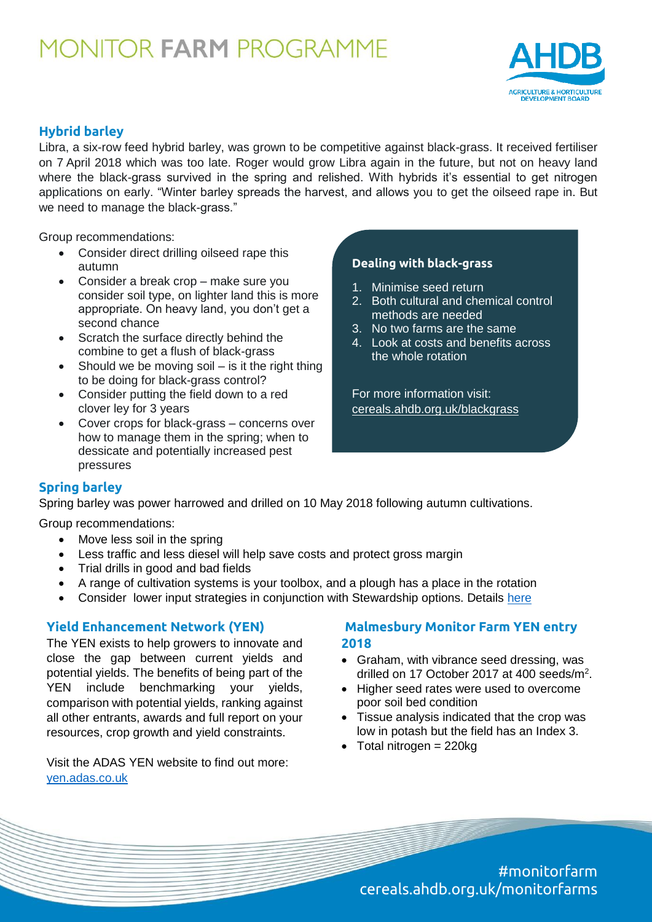## **MONITOR FARM PROGRAMME**



#### **Hybrid barley**

Libra, a six-row feed hybrid barley, was grown to be competitive against black-grass. It received fertiliser on 7 April 2018 which was too late. Roger would grow Libra again in the future, but not on heavy land where the black-grass survived in the spring and relished. With hybrids it's essential to get nitrogen applications on early. "Winter barley spreads the harvest, and allows you to get the oilseed rape in. But we need to manage the black-grass."

Group recommendations:

- Consider direct drilling oilseed rape this autumn
- Consider a break crop make sure you consider soil type, on lighter land this is more appropriate. On heavy land, you don't get a second chance
- Scratch the surface directly behind the combine to get a flush of black-grass
- $\bullet$  Should we be moving soil is it the right thing to be doing for black-grass control?
- Consider putting the field down to a red clover ley for 3 years
- Cover crops for black-grass concerns over how to manage them in the spring; when to dessicate and potentially increased pest pressures

#### **Dealing with black-grass**

- 1. Minimise seed return
- 2. [Both cultural and chemical control](https://cereals.ahdb.org.uk/blackgrass)  methods are needed
- 3. No two farms are the same
- 4. Look at costs and benefits across the whole rotation

For more information visit: cereals.ahdb.org.uk/blackgrass

#### **Spring barley**

Spring barley was power harrowed and drilled on 10 May 2018 following autumn cultivations.

Group recommendations:

- Move less soil in the spring
- Less traffic and less diesel will help save costs and protect gross margin
- Trial drills in good and bad fields
- A range of cultivation systems is your toolbox, and a plough has a place in the rotation
- Consider lower input strategies in conjunction with Stewardship options. Details [here](https://www.gov.uk/government/publications/arable-offer-countryside-stewardship/arable-offer-what-you-need-to-know)

#### **Yield Enhancement Network (YEN)**

The YEN exists to help growers to innovate and close the gap between current yields and potential yields. The benefits of being part of the YEN include benchmarking your yields, comparison with potential yields, ranking against all other entrants, awards and full report on your resources, crop growth and yield constraints.

Visit the ADAS YEN website to find out more: [yen.adas.co.uk](http://yen.adas.co.uk/)

#### **Malmesbury Monitor Farm YEN entry 2018**

- Graham, with vibrance seed dressing, was drilled on 17 October 2017 at 400 seeds/m<sup>2</sup>.
- Higher seed rates were used to overcome poor soil bed condition
- Tissue analysis indicated that the crop was low in potash but the field has an Index 3.
- $\bullet$  Total nitrogen = 220kg

#monitorfarm cereals.ahdb.org.uk/monitorfarms